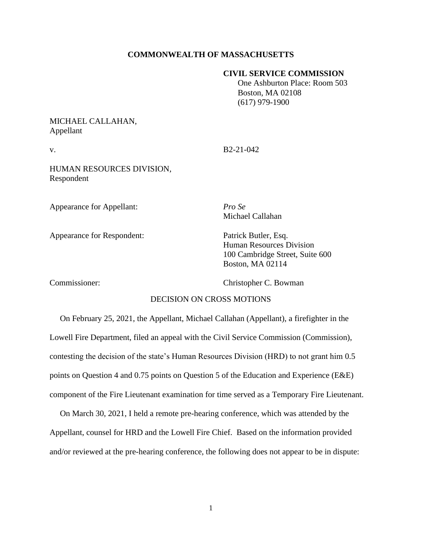## **COMMONWEALTH OF MASSACHUSETTS**

#### **CIVIL SERVICE COMMISSION**

 One Ashburton Place: Room 503 Boston, MA 02108 (617) 979-1900

# MICHAEL CALLAHAN, Appellant

v. B2-21-042

HUMAN RESOURCES DIVISION, Respondent

Appearance for Appellant: *Pro Se*

Appearance for Respondent: Patrick Butler, Esq.

Michael Callahan

Human Resources Division 100 Cambridge Street, Suite 600 Boston, MA 02114

Commissioner: Christopher C. Bowman

# DECISION ON CROSS MOTIONS

 On February 25, 2021, the Appellant, Michael Callahan (Appellant), a firefighter in the Lowell Fire Department, filed an appeal with the Civil Service Commission (Commission), contesting the decision of the state's Human Resources Division (HRD) to not grant him 0.5 points on Question 4 and 0.75 points on Question 5 of the Education and Experience (E&E) component of the Fire Lieutenant examination for time served as a Temporary Fire Lieutenant.

 On March 30, 2021, I held a remote pre-hearing conference, which was attended by the Appellant, counsel for HRD and the Lowell Fire Chief. Based on the information provided and/or reviewed at the pre-hearing conference, the following does not appear to be in dispute: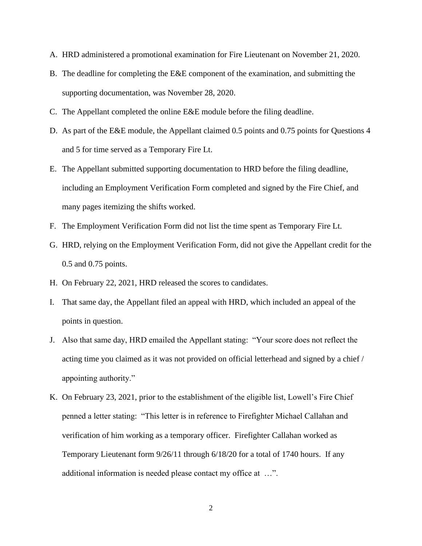- A. HRD administered a promotional examination for Fire Lieutenant on November 21, 2020.
- B. The deadline for completing the E&E component of the examination, and submitting the supporting documentation, was November 28, 2020.
- C. The Appellant completed the online E&E module before the filing deadline.
- D. As part of the E&E module, the Appellant claimed 0.5 points and 0.75 points for Questions 4 and 5 for time served as a Temporary Fire Lt.
- E. The Appellant submitted supporting documentation to HRD before the filing deadline, including an Employment Verification Form completed and signed by the Fire Chief, and many pages itemizing the shifts worked.
- F. The Employment Verification Form did not list the time spent as Temporary Fire Lt.
- G. HRD, relying on the Employment Verification Form, did not give the Appellant credit for the 0.5 and 0.75 points.
- H. On February 22, 2021, HRD released the scores to candidates.
- I. That same day, the Appellant filed an appeal with HRD, which included an appeal of the points in question.
- J. Also that same day, HRD emailed the Appellant stating: "Your score does not reflect the acting time you claimed as it was not provided on official letterhead and signed by a chief / appointing authority."
- K. On February 23, 2021, prior to the establishment of the eligible list, Lowell's Fire Chief penned a letter stating: "This letter is in reference to Firefighter Michael Callahan and verification of him working as a temporary officer. Firefighter Callahan worked as Temporary Lieutenant form 9/26/11 through 6/18/20 for a total of 1740 hours. If any additional information is needed please contact my office at …".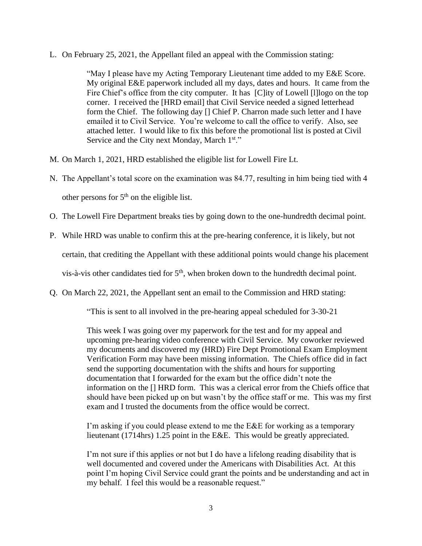L. On February 25, 2021, the Appellant filed an appeal with the Commission stating:

"May I please have my Acting Temporary Lieutenant time added to my E&E Score. My original E&E paperwork included all my days, dates and hours. It came from the Fire Chief's office from the city computer. It has [C]ity of Lowell [l]logo on the top corner. I received the [HRD email] that Civil Service needed a signed letterhead form the Chief. The following day [] Chief P. Charron made such letter and I have emailed it to Civil Service. You're welcome to call the office to verify. Also, see attached letter. I would like to fix this before the promotional list is posted at Civil Service and the City next Monday, March 1<sup>st."</sup>

- M. On March 1, 2021, HRD established the eligible list for Lowell Fire Lt.
- N. The Appellant's total score on the examination was 84.77, resulting in him being tied with 4 other persons for  $5<sup>th</sup>$  on the eligible list.
- O. The Lowell Fire Department breaks ties by going down to the one-hundredth decimal point.
- P. While HRD was unable to confirm this at the pre-hearing conference, it is likely, but not certain, that crediting the Appellant with these additional points would change his placement vis-à-vis other candidates tied for  $5<sup>th</sup>$ , when broken down to the hundredth decimal point.
- Q. On March 22, 2021, the Appellant sent an email to the Commission and HRD stating:

"This is sent to all involved in the pre-hearing appeal scheduled for 3-30-21

This week I was going over my paperwork for the test and for my appeal and upcoming pre-hearing video conference with Civil Service. My coworker reviewed my documents and discovered my (HRD) Fire Dept Promotional Exam Employment Verification Form may have been missing information. The Chiefs office did in fact send the supporting documentation with the shifts and hours for supporting documentation that I forwarded for the exam but the office didn't note the information on the [] HRD form. This was a clerical error from the Chiefs office that should have been picked up on but wasn't by the office staff or me. This was my first exam and I trusted the documents from the office would be correct.

I'm asking if you could please extend to me the E&E for working as a temporary lieutenant (1714hrs) 1.25 point in the E&E. This would be greatly appreciated.

I'm not sure if this applies or not but I do have a lifelong reading disability that is well documented and covered under the Americans with Disabilities Act. At this point I'm hoping Civil Service could grant the points and be understanding and act in my behalf. I feel this would be a reasonable request."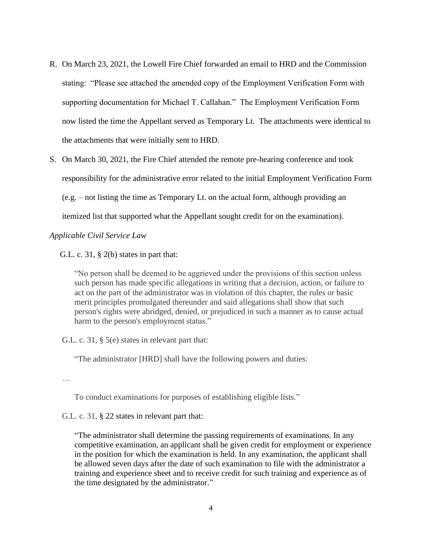- R. On March 23, 2021, the Lowell Fire Chief forwarded an email to HRD and the Commission stating: "Please see attached the amended copy of the Employment Verification Form with supporting documentation for Michael T. Callahan." The Employment Verification Form now listed the time the Appellant served as Temporary Lt. The attachments were identical to the attachments that were initially sent to HRD.
- S. On March 30, 2021, the Fire Chief attended the remote pre-hearing conference and took responsibility for the administrative error related to the initial Employment Verification Form (e.g. – not listing the time as Temporary Lt. on the actual form, although providing an itemized list that supported what the Appellant sought credit for on the examination).

*Applicable Civil Service Law*

G.L. c. 31,  $\S$  2(b) states in part that:

"No person shall be deemed to be aggrieved under the provisions of this section unless such person has made specific allegations in writing that a decision, action, or failure to act on the part of the administrator was in violation of this chapter, the rules or basic merit principles promulgated thereunder and said allegations shall show that such person's rights were abridged, denied, or prejudiced in such a manner as to cause actual harm to the person's employment status."

G.L. c. 31, § 5(e) states in relevant part that:

"The administrator [HRD] shall have the following powers and duties:

…

To conduct examinations for purposes of establishing eligible lists."

G.L. c. 31, § 22 states in relevant part that:

"The administrator shall determine the passing requirements of examinations. In any competitive examination, an applicant shall be given credit for employment or experience in the position for which the examination is held. In any examination, the applicant shall be allowed seven days after the date of such examination to file with the administrator a training and experience sheet and to receive credit for such training and experience as of the time designated by the administrator."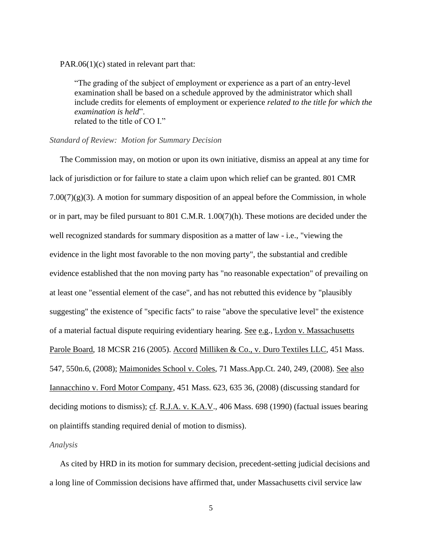PAR.06(1)(c) stated in relevant part that:

"The grading of the subject of employment or experience as a part of an entry-level examination shall be based on a schedule approved by the administrator which shall include credits for elements of employment or experience *related to the title for which the examination is held*". related to the title of CO I."

#### *Standard of Review: Motion for Summary Decision*

 The Commission may, on motion or upon its own initiative, dismiss an appeal at any time for lack of jurisdiction or for failure to state a claim upon which relief can be granted. 801 CMR  $7.00(7)(g)(3)$ . A motion for summary disposition of an appeal before the Commission, in whole or in part, may be filed pursuant to 801 C.M.R. 1.00(7)(h). These motions are decided under the well recognized standards for summary disposition as a matter of law - i.e., "viewing the evidence in the light most favorable to the non moving party", the substantial and credible evidence established that the non moving party has "no reasonable expectation" of prevailing on at least one "essential element of the case", and has not rebutted this evidence by "plausibly suggesting" the existence of "specific facts" to raise "above the speculative level" the existence of a material factual dispute requiring evidentiary hearing. See e.g., Lydon v. Massachusetts Parole Board, 18 MCSR 216 (2005). Accord Milliken & Co., v. Duro Textiles LLC, [451 Mass.](http://sll.gvpi.net/document.php?field=jd&value=sjcapp:451_mass._547)  [547,](http://sll.gvpi.net/document.php?field=jd&value=sjcapp:451_mass._547) 550n.6, (2008); Maimonides School v. Coles, 71 Mass.App.Ct. 240, 249, (2008). See also Iannacchino v. Ford Motor Company, [451 Mass. 623,](http://sll.gvpi.net/document.php?field=jd&value=sjcapp:451_mass._623) 635 36, (2008) (discussing standard for deciding motions to dismiss); cf. R.J.A. v. K.A.V., [406 Mass. 698](http://sll.gvpi.net/document.php?field=jd&value=sjcapp:406_mass._698) (1990) (factual issues bearing on plaintiffs standing required denial of motion to dismiss).

## *Analysis*

 As cited by HRD in its motion for summary decision, precedent-setting judicial decisions and a long line of Commission decisions have affirmed that, under Massachusetts civil service law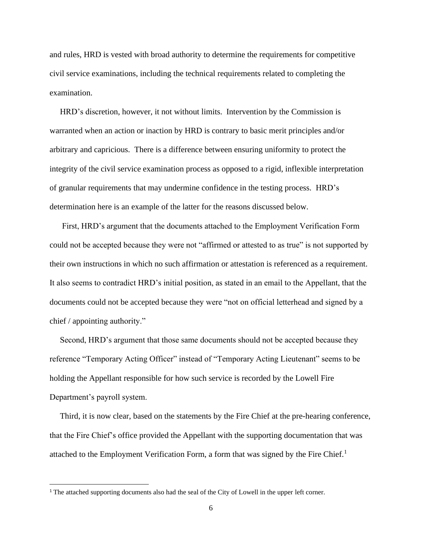and rules, HRD is vested with broad authority to determine the requirements for competitive civil service examinations, including the technical requirements related to completing the examination.

 HRD's discretion, however, it not without limits. Intervention by the Commission is warranted when an action or inaction by HRD is contrary to basic merit principles and/or arbitrary and capricious. There is a difference between ensuring uniformity to protect the integrity of the civil service examination process as opposed to a rigid, inflexible interpretation of granular requirements that may undermine confidence in the testing process. HRD's determination here is an example of the latter for the reasons discussed below.

 First, HRD's argument that the documents attached to the Employment Verification Form could not be accepted because they were not "affirmed or attested to as true" is not supported by their own instructions in which no such affirmation or attestation is referenced as a requirement. It also seems to contradict HRD's initial position, as stated in an email to the Appellant, that the documents could not be accepted because they were "not on official letterhead and signed by a chief / appointing authority."

 Second, HRD's argument that those same documents should not be accepted because they reference "Temporary Acting Officer" instead of "Temporary Acting Lieutenant" seems to be holding the Appellant responsible for how such service is recorded by the Lowell Fire Department's payroll system.

 Third, it is now clear, based on the statements by the Fire Chief at the pre-hearing conference, that the Fire Chief's office provided the Appellant with the supporting documentation that was attached to the Employment Verification Form, a form that was signed by the Fire Chief.<sup>1</sup>

<sup>1</sup> The attached supporting documents also had the seal of the City of Lowell in the upper left corner.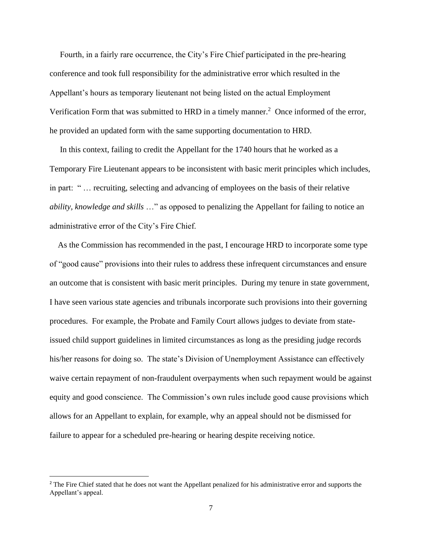Fourth, in a fairly rare occurrence, the City's Fire Chief participated in the pre-hearing conference and took full responsibility for the administrative error which resulted in the Appellant's hours as temporary lieutenant not being listed on the actual Employment Verification Form that was submitted to HRD in a timely manner.<sup>2</sup> Once informed of the error, he provided an updated form with the same supporting documentation to HRD.

 In this context, failing to credit the Appellant for the 1740 hours that he worked as a Temporary Fire Lieutenant appears to be inconsistent with basic merit principles which includes, in part: " … recruiting, selecting and advancing of employees on the basis of their relative *ability, knowledge and skills* …" as opposed to penalizing the Appellant for failing to notice an administrative error of the City's Fire Chief.

 As the Commission has recommended in the past, I encourage HRD to incorporate some type of "good cause" provisions into their rules to address these infrequent circumstances and ensure an outcome that is consistent with basic merit principles. During my tenure in state government, I have seen various state agencies and tribunals incorporate such provisions into their governing procedures. For example, the Probate and Family Court allows judges to deviate from stateissued child support guidelines in limited circumstances as long as the presiding judge records his/her reasons for doing so. The state's Division of Unemployment Assistance can effectively waive certain repayment of non-fraudulent overpayments when such repayment would be against equity and good conscience. The Commission's own rules include good cause provisions which allows for an Appellant to explain, for example, why an appeal should not be dismissed for failure to appear for a scheduled pre-hearing or hearing despite receiving notice.

<sup>&</sup>lt;sup>2</sup> The Fire Chief stated that he does not want the Appellant penalized for his administrative error and supports the Appellant's appeal.